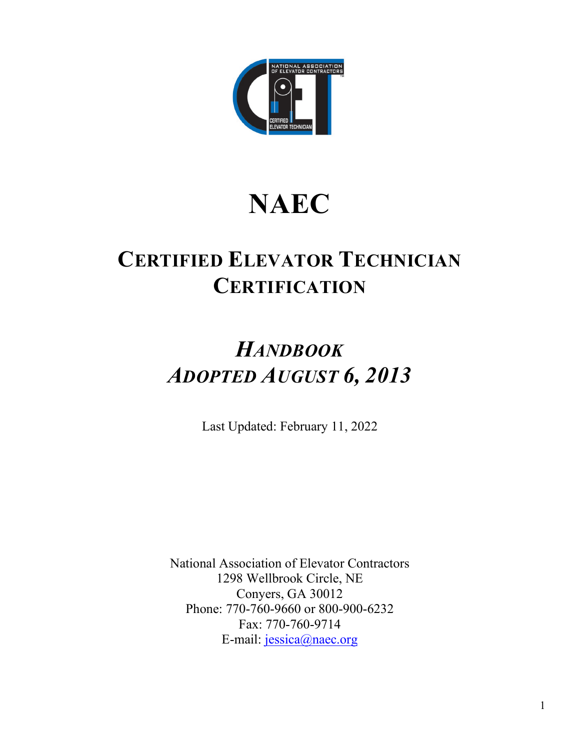

# **NAEC**

## **CERTIFIED ELEVATOR TECHNICIAN CERTIFICATION**

## *HANDBOOK ADOPTED AUGUST 6, 2013*

Last Updated: February 11, 2022

National Association of Elevator Contractors 1298 Wellbrook Circle, NE Conyers, GA 30012 Phone: 770-760-9660 or 800-900-6232 Fax: 770-760-9714 E-mail: [jessica@naec.org](mailto:jessica@naec.org)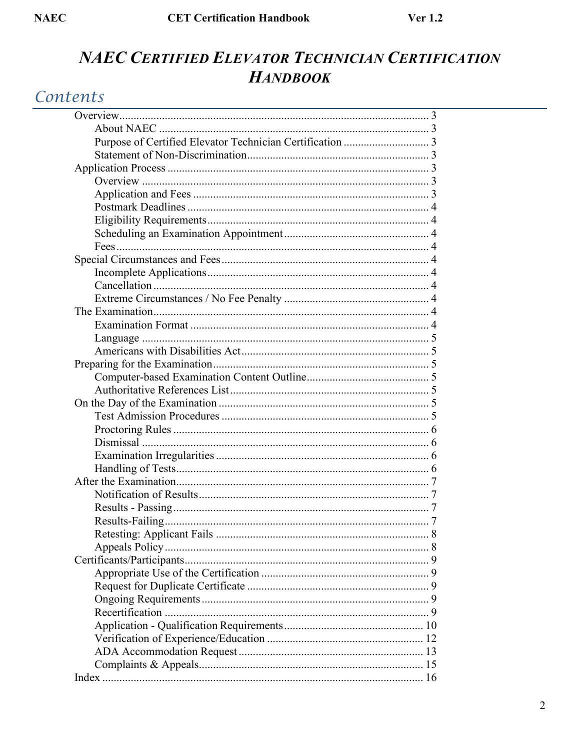### NAEC CERTIFIED ELEVATOR TECHNICIAN CERTIFICATION **HANDBOOK**

### Contents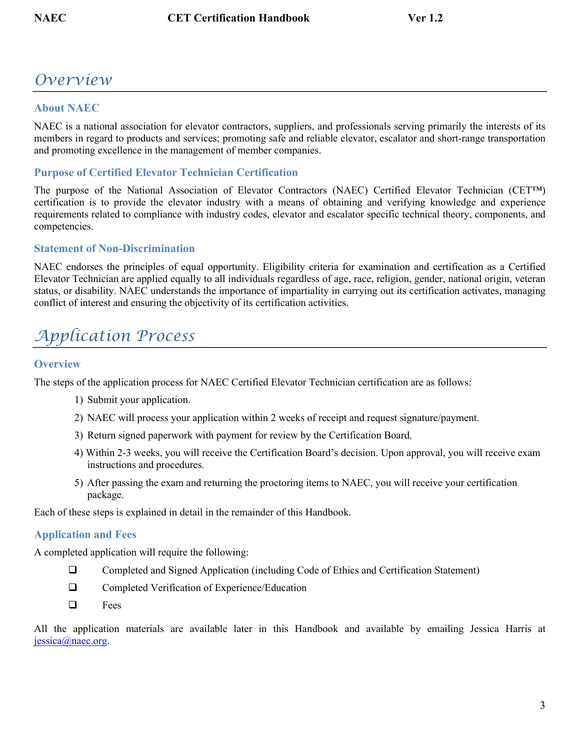### <span id="page-2-0"></span>*Overview*

#### <span id="page-2-1"></span>**About NAEC**

NAEC is a national association for elevator contractors, suppliers, and professionals serving primarily the interests of its members in regard to products and services; promoting safe and reliable elevator, escalator and short-range transportation and promoting excellence in the management of member companies.

#### <span id="page-2-2"></span>**Purpose of Certified Elevator Technician Certification**

The purpose of the National Association of Elevator Contractors (NAEC) Certified Elevator Technician (CET™) certification is to provide the elevator industry with a means of obtaining and verifying knowledge and experience requirements related to compliance with industry codes, elevator and escalator specific technical theory, components, and competencies.

#### <span id="page-2-3"></span>**Statement of Non-Discrimination**

NAEC endorses the principles of equal opportunity. Eligibility criteria for examination and certification as a Certified Elevator Technician are applied equally to all individuals regardless of age, race, religion, gender, national origin, veteran status, or disability. NAEC understands the importance of impartiality in carrying out its certification activates, managing conflict of interest and ensuring the objectivity of its certification activities.

### <span id="page-2-4"></span>*Application Process*

#### <span id="page-2-5"></span>**Overview**

The steps of the application process for NAEC Certified Elevator Technician certification are as follows:

- 1) Submit your application.
- 2) NAEC will process your application within 2 weeks of receipt and request signature/payment.
- 3) Return signed paperwork with payment for review by the Certification Board.
- 4) Within 2-3 weeks, you will receive the Certification Board's decision. Upon approval, you will receive exam instructions and procedures.
- 5) After passing the exam and returning the proctoring items to NAEC, you will receive your certification package.

<span id="page-2-6"></span>Each of these steps is explained in detail in the remainder of this Handbook.

#### **Application and Fees**

A completed application will require the following:

- Completed and Signed Application (including Code of Ethics and Certification Statement)
- □ Completed Verification of Experience/Education
- $\Box$  Fees

All the application materials are available later in this Handbook and available by emailing Jessica Harris at [jessica@naec.org.](mailto:jessica@naec.org)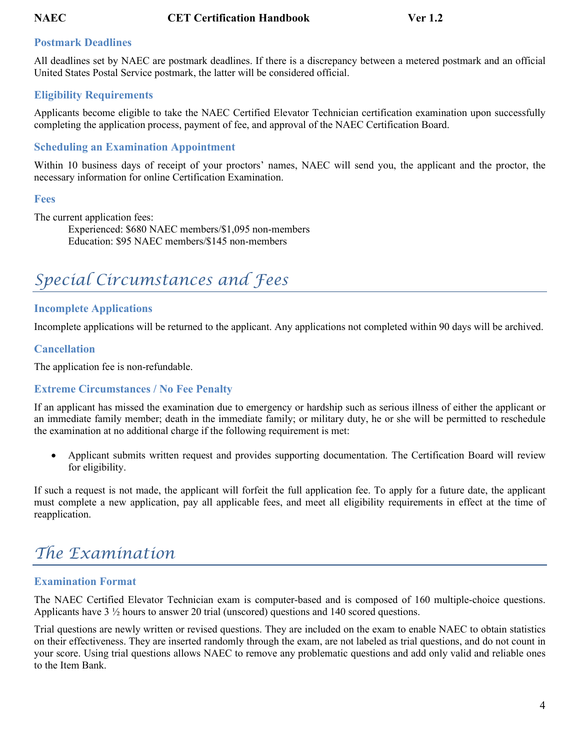#### <span id="page-3-0"></span>**Postmark Deadlines**

All deadlines set by NAEC are postmark deadlines. If there is a discrepancy between a metered postmark and an official United States Postal Service postmark, the latter will be considered official.

#### <span id="page-3-1"></span>**Eligibility Requirements**

Applicants become eligible to take the NAEC Certified Elevator Technician certification examination upon successfully completing the application process, payment of fee, and approval of the NAEC Certification Board.

#### <span id="page-3-2"></span>**Scheduling an Examination Appointment**

Within 10 business days of receipt of your proctors' names, NAEC will send you, the applicant and the proctor, the necessary information for online Certification Examination.

#### <span id="page-3-3"></span>**Fees**

The current application fees:

Experienced: \$680 NAEC members/\$1,095 non-members Education: \$95 NAEC members/\$145 non-members

## <span id="page-3-4"></span>*Special Circumstances and Fees*

#### <span id="page-3-5"></span>**Incomplete Applications**

<span id="page-3-6"></span>Incomplete applications will be returned to the applicant. Any applications not completed within 90 days will be archived.

#### **Cancellation**

The application fee is non-refundable.

#### <span id="page-3-7"></span>**Extreme Circumstances / No Fee Penalty**

If an applicant has missed the examination due to emergency or hardship such as serious illness of either the applicant or an immediate family member; death in the immediate family; or military duty, he or she will be permitted to reschedule the examination at no additional charge if the following requirement is met:

• Applicant submits written request and provides supporting documentation. The Certification Board will review for eligibility.

If such a request is not made, the applicant will forfeit the full application fee. To apply for a future date, the applicant must complete a new application, pay all applicable fees, and meet all eligibility requirements in effect at the time of reapplication.

### <span id="page-3-8"></span>*The Examination*

#### <span id="page-3-9"></span>**Examination Format**

The NAEC Certified Elevator Technician exam is computer-based and is composed of 160 multiple-choice questions. Applicants have 3 ½ hours to answer 20 trial (unscored) questions and 140 scored questions.

Trial questions are newly written or revised questions. They are included on the exam to enable NAEC to obtain statistics on their effectiveness. They are inserted randomly through the exam, are not labeled as trial questions, and do not count in your score. Using trial questions allows NAEC to remove any problematic questions and add only valid and reliable ones to the Item Bank.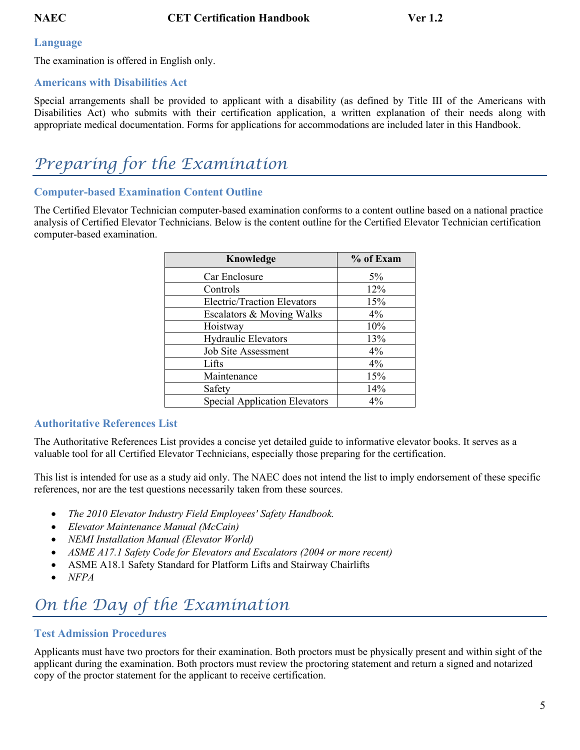#### <span id="page-4-0"></span>**Language**

The examination is offered in English only.

#### <span id="page-4-1"></span>**Americans with Disabilities Act**

Special arrangements shall be provided to applicant with a disability (as defined by Title III of the Americans with Disabilities Act) who submits with their certification application, a written explanation of their needs along with appropriate medical documentation. Forms for applications for accommodations are included later in this Handbook.

### <span id="page-4-2"></span>*Preparing for the Examination*

#### <span id="page-4-3"></span>**Computer-based Examination Content Outline**

The Certified Elevator Technician computer-based examination conforms to a content outline based on a national practice analysis of Certified Elevator Technicians. Below is the content outline for the Certified Elevator Technician certification computer-based examination.

| Knowledge                            | % of Exam |
|--------------------------------------|-----------|
| Car Enclosure                        | $5\%$     |
| Controls                             | 12%       |
| <b>Electric/Traction Elevators</b>   | 15%       |
| Escalators & Moving Walks            | $4\%$     |
| Hoistway                             | 10%       |
| <b>Hydraulic Elevators</b>           | 13%       |
| <b>Job Site Assessment</b>           | $4\%$     |
| Lifts                                | $4\%$     |
| Maintenance                          | 15%       |
| Safety                               | 14%       |
| <b>Special Application Elevators</b> | $4\%$     |

#### <span id="page-4-4"></span>**Authoritative References List**

The Authoritative References List provides a concise yet detailed guide to informative elevator books. It serves as a valuable tool for all Certified Elevator Technicians, especially those preparing for the certification.

This list is intended for use as a study aid only. The NAEC does not intend the list to imply endorsement of these specific references, nor are the test questions necessarily taken from these sources.

- *The 2010 Elevator Industry Field Employees' Safety Handbook.*
- *Elevator Maintenance Manual (McCain)*
- *NEMI Installation Manual (Elevator World)*
- *ASME A17.1 Safety Code for Elevators and Escalators (2004 or more recent)*
- ASME A18.1 Safety Standard for Platform Lifts and Stairway Chairlifts
- *NFPA*

### <span id="page-4-5"></span>*On the Day of the Examination*

#### <span id="page-4-6"></span>**Test Admission Procedures**

Applicants must have two proctors for their examination. Both proctors must be physically present and within sight of the applicant during the examination. Both proctors must review the proctoring statement and return a signed and notarized copy of the proctor statement for the applicant to receive certification.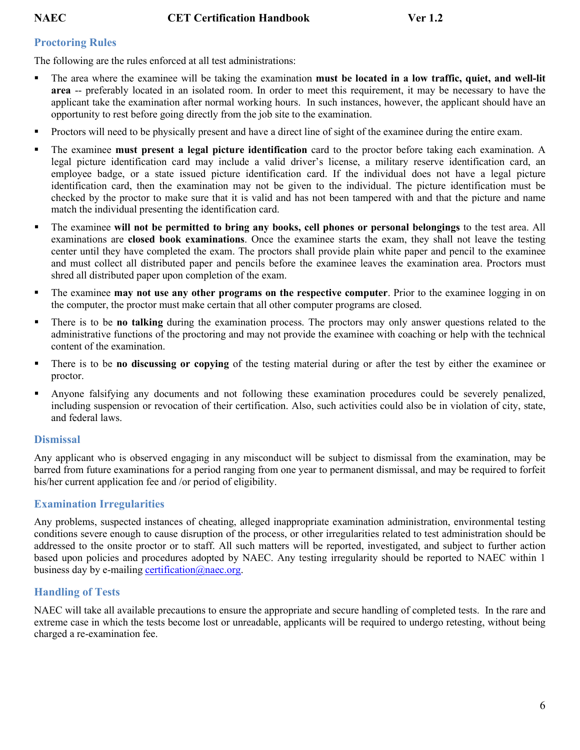#### <span id="page-5-0"></span>**Proctoring Rules**

The following are the rules enforced at all test administrations:

- The area where the examinee will be taking the examination **must be located in a low traffic, quiet, and well-lit area** -- preferably located in an isolated room. In order to meet this requirement, it may be necessary to have the applicant take the examination after normal working hours. In such instances, however, the applicant should have an opportunity to rest before going directly from the job site to the examination.
- **Proctors will need to be physically present and have a direct line of sight of the examinee during the entire exam.**
- The examinee **must present a legal picture identification** card to the proctor before taking each examination. A legal picture identification card may include a valid driver's license, a military reserve identification card, an employee badge, or a state issued picture identification card. If the individual does not have a legal picture identification card, then the examination may not be given to the individual. The picture identification must be checked by the proctor to make sure that it is valid and has not been tampered with and that the picture and name match the individual presenting the identification card.
- The examinee **will not be permitted to bring any books, cell phones or personal belongings** to the test area. All examinations are **closed book examinations**. Once the examinee starts the exam, they shall not leave the testing center until they have completed the exam. The proctors shall provide plain white paper and pencil to the examinee and must collect all distributed paper and pencils before the examinee leaves the examination area. Proctors must shred all distributed paper upon completion of the exam.
- The examinee **may not use any other programs on the respective computer**. Prior to the examinee logging in on the computer, the proctor must make certain that all other computer programs are closed.
- There is to be **no talking** during the examination process. The proctors may only answer questions related to the administrative functions of the proctoring and may not provide the examinee with coaching or help with the technical content of the examination.
- There is to be **no discussing or copying** of the testing material during or after the test by either the examinee or proctor.
- Anyone falsifying any documents and not following these examination procedures could be severely penalized, including suspension or revocation of their certification. Also, such activities could also be in violation of city, state, and federal laws.

#### <span id="page-5-1"></span>**Dismissal**

Any applicant who is observed engaging in any misconduct will be subject to dismissal from the examination, may be barred from future examinations for a period ranging from one year to permanent dismissal, and may be required to forfeit his/her current application fee and /or period of eligibility.

#### <span id="page-5-2"></span>**Examination Irregularities**

Any problems, suspected instances of cheating, alleged inappropriate examination administration, environmental testing conditions severe enough to cause disruption of the process, or other irregularities related to test administration should be addressed to the onsite proctor or to staff. All such matters will be reported, investigated, and subject to further action based upon policies and procedures adopted by NAEC. Any testing irregularity should be reported to NAEC within 1 business day by e-mailing certification  $\omega$  has negative.

#### <span id="page-5-3"></span>**Handling of Tests**

NAEC will take all available precautions to ensure the appropriate and secure handling of completed tests. In the rare and extreme case in which the tests become lost or unreadable, applicants will be required to undergo retesting, without being charged a re-examination fee.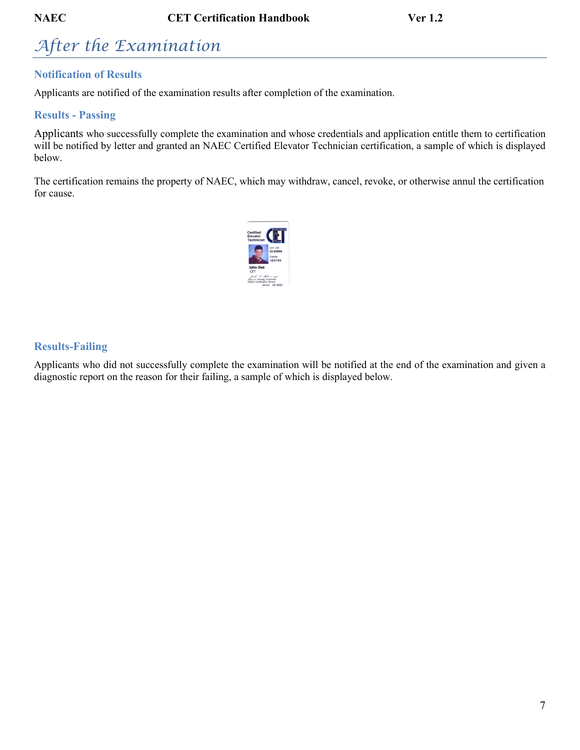## <span id="page-6-0"></span>*After the Examination*

### <span id="page-6-1"></span>**Notification of Results**

Applicants are notified of the examination results after completion of the examination.

#### <span id="page-6-2"></span>**Results - Passing**

Applicants who successfully complete the examination and whose credentials and application entitle them to certification will be notified by letter and granted an NAEC Certified Elevator Technician certification, a sample of which is displayed below.

The certification remains the property of NAEC, which may withdraw, cancel, revoke, or otherwise annul the certification for cause.



#### <span id="page-6-3"></span>**Results-Failing**

Applicants who did not successfully complete the examination will be notified at the end of the examination and given a diagnostic report on the reason for their failing, a sample of which is displayed below.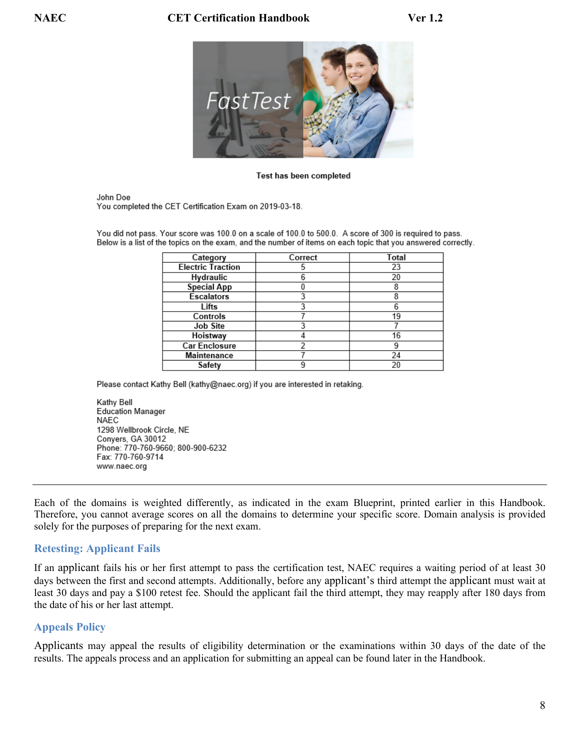

#### Test has been completed

John Doe You completed the CET Certification Exam on 2019-03-18.

You did not pass. Your score was 100.0 on a scale of 100.0 to 500.0. A score of 300 is required to pass. Below is a list of the topics on the exam, and the number of items on each topic that you answered correctly.

| Category                 | Correct | Total |
|--------------------------|---------|-------|
| <b>Electric Traction</b> |         | 23    |
| <b>Hydraulic</b>         |         | 20    |
| <b>Special App</b>       |         | 8     |
| <b>Escalators</b>        |         | 8     |
| Lifts                    |         | 6     |
| Controls                 |         | 19    |
| Job Site                 |         |       |
| Hoistway                 |         | 16    |
| <b>Car Enclosure</b>     |         | 9     |
| Maintenance              |         | 24    |
| Safety                   |         | 20    |

Please contact Kathy Bell (kathy@naec.org) if you are interested in retaking.

Kathy Bell Education Manager NAEC 1298 Wellbrook Circle, NE Conyers, GA 30012 Phone: 770-760-9660; 800-900-6232 Fax: 770-760-9714 www.naec.org

Each of the domains is weighted differently, as indicated in the exam Blueprint, printed earlier in this Handbook. Therefore, you cannot average scores on all the domains to determine your specific score. Domain analysis is provided solely for the purposes of preparing for the next exam.

#### <span id="page-7-0"></span>**Retesting: Applicant Fails**

If an applicant fails his or her first attempt to pass the certification test, NAEC requires a waiting period of at least 30 days between the first and second attempts. Additionally, before any applicant's third attempt the applicant must wait at least 30 days and pay a \$100 retest fee. Should the applicant fail the third attempt, they may reapply after 180 days from the date of his or her last attempt.

#### <span id="page-7-1"></span>**Appeals Policy**

Applicants may appeal the results of eligibility determination or the examinations within 30 days of the date of the results. The appeals process and an application for submitting an appeal can be found later in the Handbook.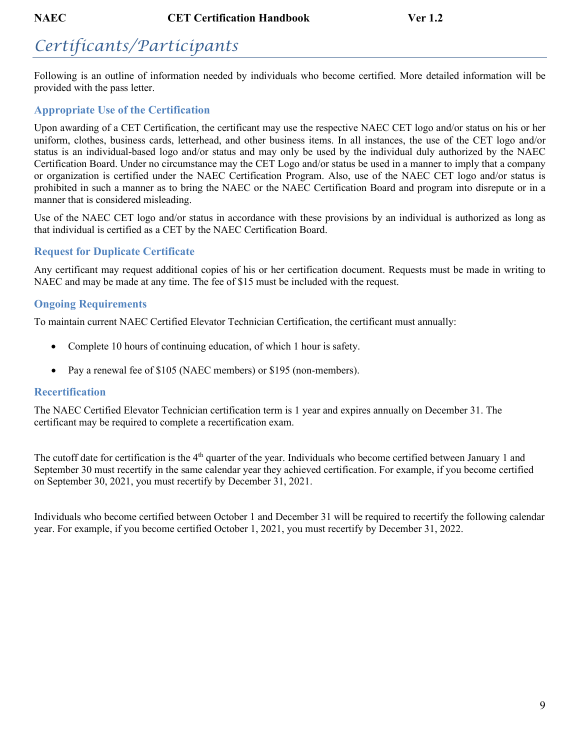## <span id="page-8-0"></span>*Certificants/Participants*

Following is an outline of information needed by individuals who become certified. More detailed information will be provided with the pass letter.

### <span id="page-8-1"></span>**Appropriate Use of the Certification**

Upon awarding of a CET Certification, the certificant may use the respective NAEC CET logo and/or status on his or her uniform, clothes, business cards, letterhead, and other business items. In all instances, the use of the CET logo and/or status is an individual-based logo and/or status and may only be used by the individual duly authorized by the NAEC Certification Board. Under no circumstance may the CET Logo and/or status be used in a manner to imply that a company or organization is certified under the NAEC Certification Program. Also, use of the NAEC CET logo and/or status is prohibited in such a manner as to bring the NAEC or the NAEC Certification Board and program into disrepute or in a manner that is considered misleading.

Use of the NAEC CET logo and/or status in accordance with these provisions by an individual is authorized as long as that individual is certified as a CET by the NAEC Certification Board.

### <span id="page-8-2"></span>**Request for Duplicate Certificate**

Any certificant may request additional copies of his or her certification document. Requests must be made in writing to NAEC and may be made at any time. The fee of \$15 must be included with the request.

### <span id="page-8-3"></span>**Ongoing Requirements**

To maintain current NAEC Certified Elevator Technician Certification, the certificant must annually:

- Complete 10 hours of continuing education, of which 1 hour is safety.
- Pay a renewal fee of \$105 (NAEC members) or \$195 (non-members).

#### <span id="page-8-4"></span>**Recertification**

The NAEC Certified Elevator Technician certification term is 1 year and expires annually on December 31. The certificant may be required to complete a recertification exam.

The cutoff date for certification is the 4<sup>th</sup> quarter of the year. Individuals who become certified between January 1 and September 30 must recertify in the same calendar year they achieved certification. For example, if you become certified on September 30, 2021, you must recertify by December 31, 2021.

Individuals who become certified between October 1 and December 31 will be required to recertify the following calendar year. For example, if you become certified October 1, 2021, you must recertify by December 31, 2022.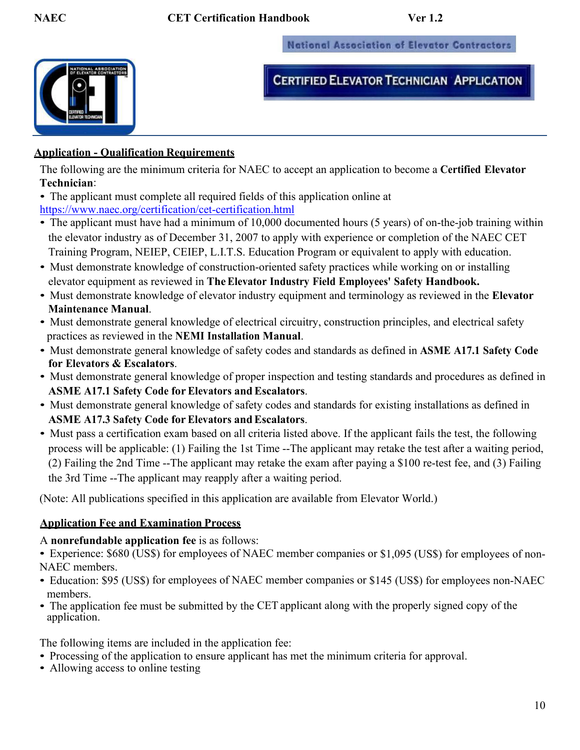**National Association of Elevator Contractors** 



**CERTIFIED ELEVATOR TECHNICIAN APPLICATION** 

#### <span id="page-9-0"></span>**Application - Qualification Requirements**

The following are the minimum criteria for NAEC to accept an application to become a **Certified Elevator Technician**:

- The applicant must complete all required fields of this application online at <https://www.naec.org/certification/cet-certification.html>
- The applicant must have had a minimum of 10,000 documented hours (5 years) of on-the-job training within the elevator industry as of December 31, 2007 to apply with experience or completion of the NAEC CET Training Program, NEIEP, CEIEP, L.I.T.S. Education Program or equivalent to apply with education.
- Must demonstrate knowledge of construction-oriented safety practices while working on or installing elevator equipment as reviewed in **TheElevator Industry Field Employees' Safety Handbook.**
- Must demonstrate knowledge of elevator industry equipment and terminology as reviewed in the **Elevator Maintenance Manual**.
- Must demonstrate general knowledge of electrical circuitry, construction principles, and electrical safety practices as reviewed in the **NEMI Installation Manual**.
- Must demonstrate general knowledge of safety codes and standards as defined in **ASME A17.1 Safety Code for Elevators & Escalators**.
- Must demonstrate general knowledge of proper inspection and testing standards and procedures as defined in **ASME A17.1 Safety Code for Elevators andEscalators**.
- Must demonstrate general knowledge of safety codes and standards for existing installations as defined in **ASME A17.3 Safety Code for Elevators andEscalators**.
- Must pass a certification exam based on all criteria listed above. If the applicant fails the test, the following process will be applicable: (1) Failing the 1st Time --The applicant may retake the test after a waiting period, (2) Failing the 2nd Time --The applicant may retake the exam after paying a \$100 re-test fee, and (3) Failing the 3rd Time --The applicant may reapply after a waiting period.

(Note: All publications specified in this application are available from Elevator World.)

#### **Application Fee and Examination Process**

A **nonrefundable application fee** is as follows:

- Experience: \$680 (US\$) for employees of NAEC member companies or \$1,095 (US\$) for employees of non-NAEC members.
- Education: \$95 (US\$) for employees of NAEC member companies or \$145 (US\$) for employees non-NAEC members.
- The application fee must be submitted by the CET applicant along with the properly signed copy of the application.

The following items are included in the application fee:

- Processing of the application to ensure applicant has met the minimum criteria for approval.
- Allowing access to online testing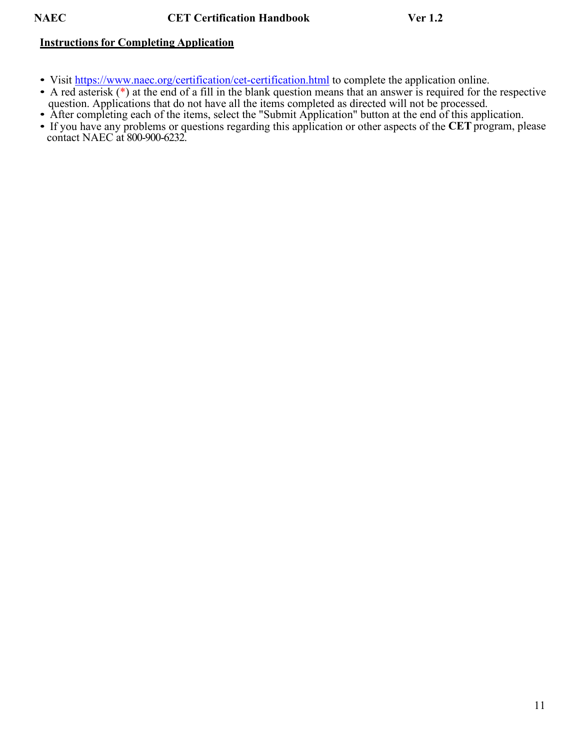#### **Instructionsfor Completing Application**

- Visit<https://www.naec.org/certification/cet-certification.html> to complete the application online.
- A red asterisk ( $*$ ) at the end of a fill in the blank question means that an answer is required for the respective question. Applications that do not have all the items completed as directed will not be processed.
- After completing each of the items, select the "Submit Application" button at the end of this application.
- If you have any problems or questions regarding this application or other aspects of the **CET** program, please contact NAEC at 800-900-6232.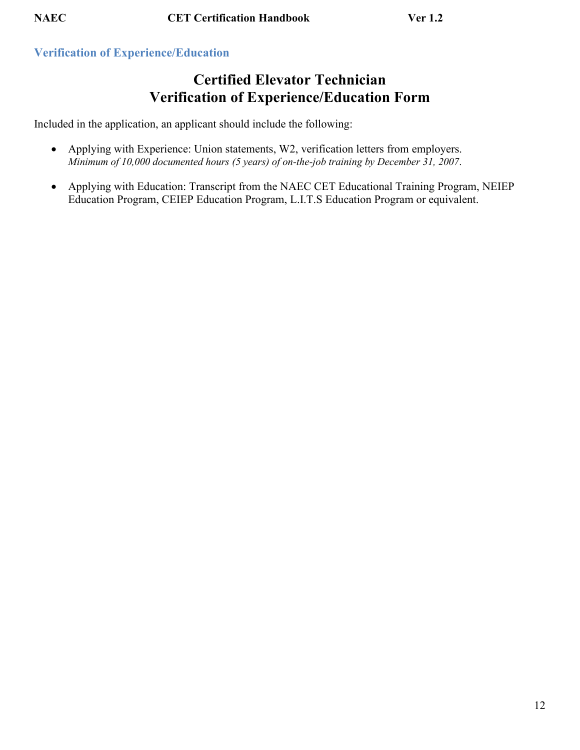#### <span id="page-11-0"></span>**Verification of Experience/Education**

### **Certified Elevator Technician Verification of Experience/Education Form**

Included in the application, an applicant should include the following:

- Applying with Experience: Union statements, W2, verification letters from employers. *Minimum of 10,000 documented hours (5 years) of on-the-job training by December 31, 2007*.
- Applying with Education: Transcript from the NAEC CET Educational Training Program, NEIEP Education Program, CEIEP Education Program, L.I.T.S Education Program or equivalent.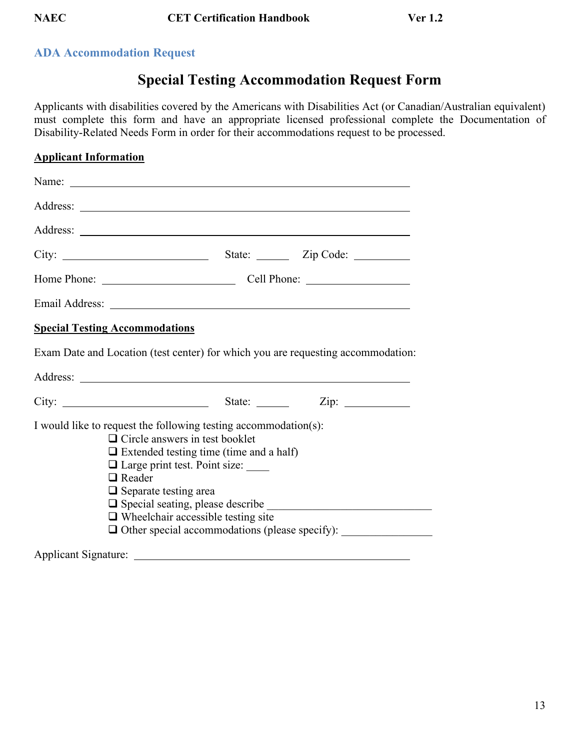### <span id="page-12-0"></span>**ADA Accommodation Request**

### **Special Testing Accommodation Request Form**

Applicants with disabilities covered by the Americans with Disabilities Act (or Canadian/Australian equivalent) must complete this form and have an appropriate licensed professional complete the Documentation of Disability-Related Needs Form in order for their accommodations request to be processed.

### **Applicant Information** Name: with the contract of the contract of the contract of the contract of the contract of the contract of the contract of the contract of the contract of the contract of the contract of the contract of the contract of the Address: Address: City: State: Zip Code: Home Phone: Cell Phone: Email Address: **Special Testing Accommodations** Exam Date and Location (test center) for which you are requesting accommodation: Address: City: State: Zip: I would like to request the following testing accommodation(s):  $\Box$  Circle answers in test booklet  $\Box$  Extended testing time (time and a half)  $\Box$  Large print test. Point size: □ Reader  $\Box$  Separate testing area  $\Box$  Special seating, please describe  $\Box$  Wheelchair accessible testing site  $\Box$  Other special accommodations (please specify): Applicant Signature: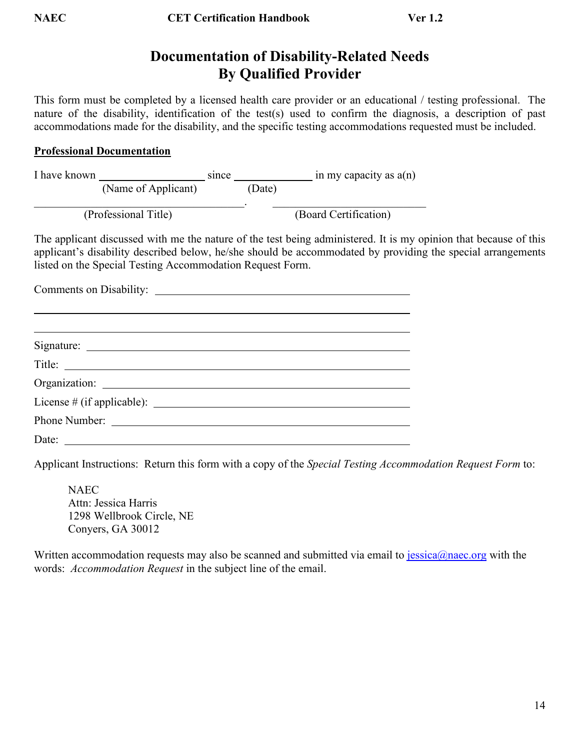### **Documentation of Disability-Related Needs By Qualified Provider**

This form must be completed by a licensed health care provider or an educational / testing professional. The nature of the disability, identification of the test(s) used to confirm the diagnosis, a description of past accommodations made for the disability, and the specific testing accommodations requested must be included.

#### **Professional Documentation**

| I have known |                      |  |        | in my capacity as $a(n)$ |
|--------------|----------------------|--|--------|--------------------------|
|              | (Name of Applicant)  |  | (Date) |                          |
|              |                      |  |        |                          |
|              | (Professional Title) |  |        | (Board Certification)    |

The applicant discussed with me the nature of the test being administered. It is my opinion that because of this applicant's disability described below, he/she should be accommodated by providing the special arrangements listed on the Special Testing Accommodation Request Form.

Comments on Disability:

Applicant Instructions: Return this form with a copy of the *Special Testing Accommodation Request Form* to:

**NAEC** Attn: Jessica Harris 1298 Wellbrook Circle, NE Conyers, GA 30012

Written accommodation requests may also be scanned and submitted via email to  $i$ essica@naec.org with the words: *Accommodation Request* in the subject line of the email.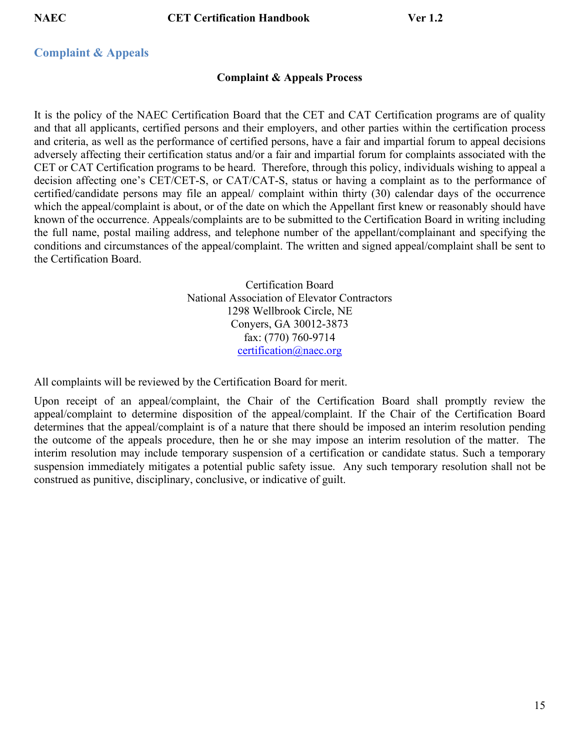**NAEC CET Certification Handbook Ver 1.2**

#### <span id="page-14-0"></span>**Complaint & Appeals**

#### **Complaint & Appeals Process**

It is the policy of the NAEC Certification Board that the CET and CAT Certification programs are of quality and that all applicants, certified persons and their employers, and other parties within the certification process and criteria, as well as the performance of certified persons, have a fair and impartial forum to appeal decisions adversely affecting their certification status and/or a fair and impartial forum for complaints associated with the CET or CAT Certification programs to be heard. Therefore, through this policy, individuals wishing to appeal a decision affecting one's CET/CET-S, or CAT/CAT-S, status or having a complaint as to the performance of certified/candidate persons may file an appeal/ complaint within thirty (30) calendar days of the occurrence which the appeal/complaint is about, or of the date on which the Appellant first knew or reasonably should have known of the occurrence. Appeals/complaints are to be submitted to the Certification Board in writing including the full name, postal mailing address, and telephone number of the appellant/complainant and specifying the conditions and circumstances of the appeal/complaint. The written and signed appeal/complaint shall be sent to the Certification Board.

> Certification Board National Association of Elevator Contractors 1298 Wellbrook Circle, NE Conyers, GA 30012-3873 fax: (770) 760-9714 [certification@naec.org](mailto:certification@naec.org)

All complaints will be reviewed by the Certification Board for merit.

Upon receipt of an appeal/complaint, the Chair of the Certification Board shall promptly review the appeal/complaint to determine disposition of the appeal/complaint. If the Chair of the Certification Board determines that the appeal/complaint is of a nature that there should be imposed an interim resolution pending the outcome of the appeals procedure, then he or she may impose an interim resolution of the matter. The interim resolution may include temporary suspension of a certification or candidate status. Such a temporary suspension immediately mitigates a potential public safety issue. Any such temporary resolution shall not be construed as punitive, disciplinary, conclusive, or indicative of guilt.